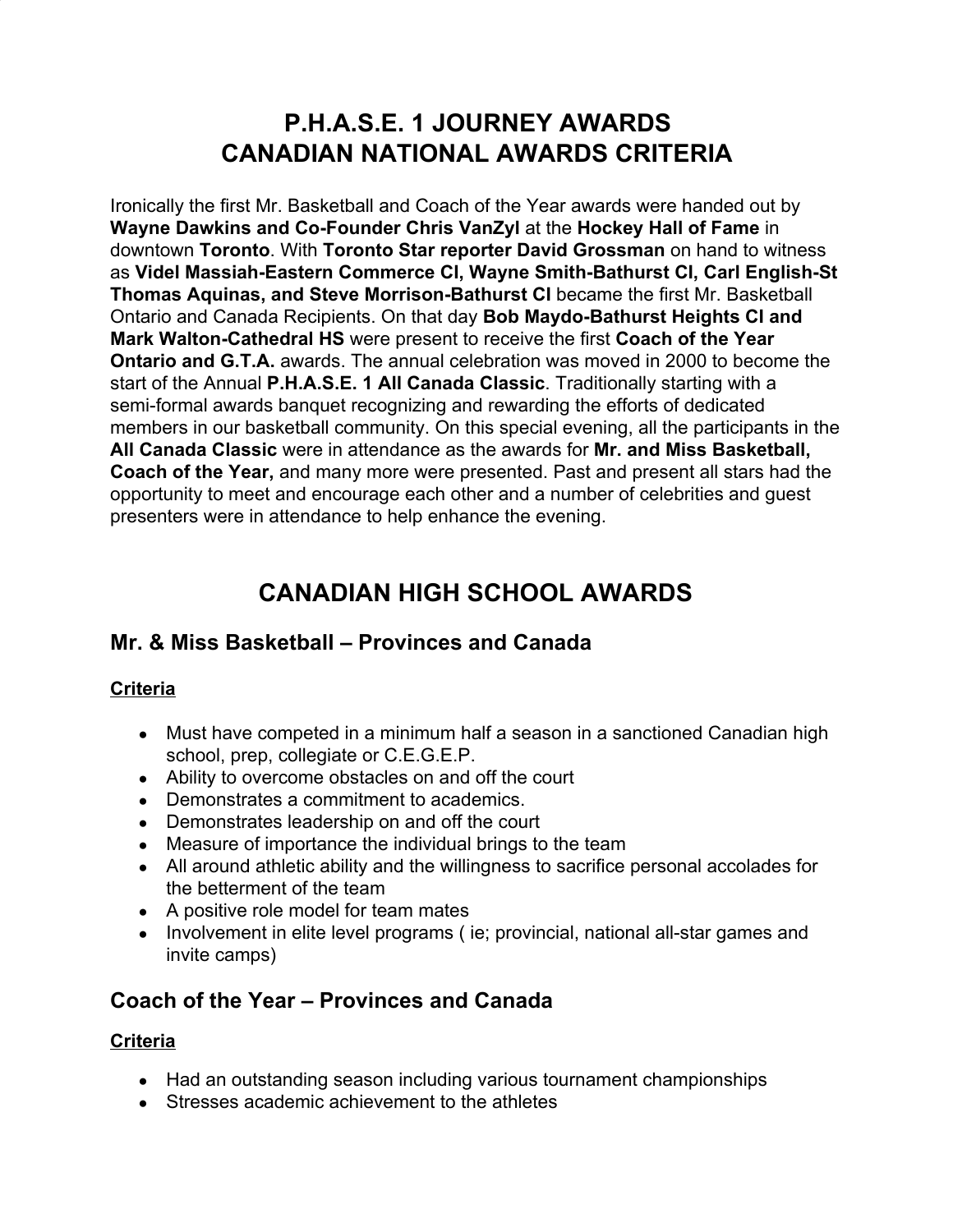# **P.H.A.S.E. 1 JOURNEY AWARDS CANADIAN NATIONAL AWARDS CRITERIA**

Ironically the first Mr. Basketball and Coach of the Year awards were handed out by **Wayne Dawkins and Co-Founder Chris VanZyl** at the **Hockey Hall of Fame** in downtown **Toronto**. With **Toronto Star reporter David Grossman** on hand to witness as **Videl Massiah-Eastern Commerce CI, Wayne Smith-Bathurst CI, Carl English-St Thomas Aquinas, and Steve Morrison-Bathurst CI** became the first Mr. Basketball Ontario and Canada Recipients. On that day **Bob Maydo-Bathurst Heights CI and Mark Walton-Cathedral HS** were present to receive the first **Coach of the Year Ontario and G.T.A.** awards. The annual celebration was moved in 2000 to become the start of the Annual **P.H.A.S.E. 1 All Canada Classic**. Traditionally starting with a semi-formal awards banquet recognizing and rewarding the efforts of dedicated members in our basketball community. On this special evening, all the participants in the **All Canada Classic** were in attendance as the awards for **Mr. and Miss Basketball, Coach of the Year,** and many more were presented. Past and present all stars had the opportunity to meet and encourage each other and a number of celebrities and guest presenters were in attendance to help enhance the evening.

# **CANADIAN HIGH SCHOOL AWARDS**

## **Mr. & Miss Basketball – Provinces and Canada**

### **Criteria**

- Must have competed in a minimum half a season in a sanctioned Canadian high school, prep, collegiate or C.E.G.E.P.
- Ability to overcome obstacles on and off the court
- Demonstrates a commitment to academics.
- Demonstrates leadership on and off the court
- Measure of importance the individual brings to the team
- All around athletic ability and the willingness to sacrifice personal accolades for the betterment of the team
- A positive role model for team mates
- Involvement in elite level programs (ie; provincial, national all-star games and invite camps)

## **Coach of the Year – Provinces and Canada**

### **Criteria**

- Had an outstanding season including various tournament championships
- Stresses academic achievement to the athletes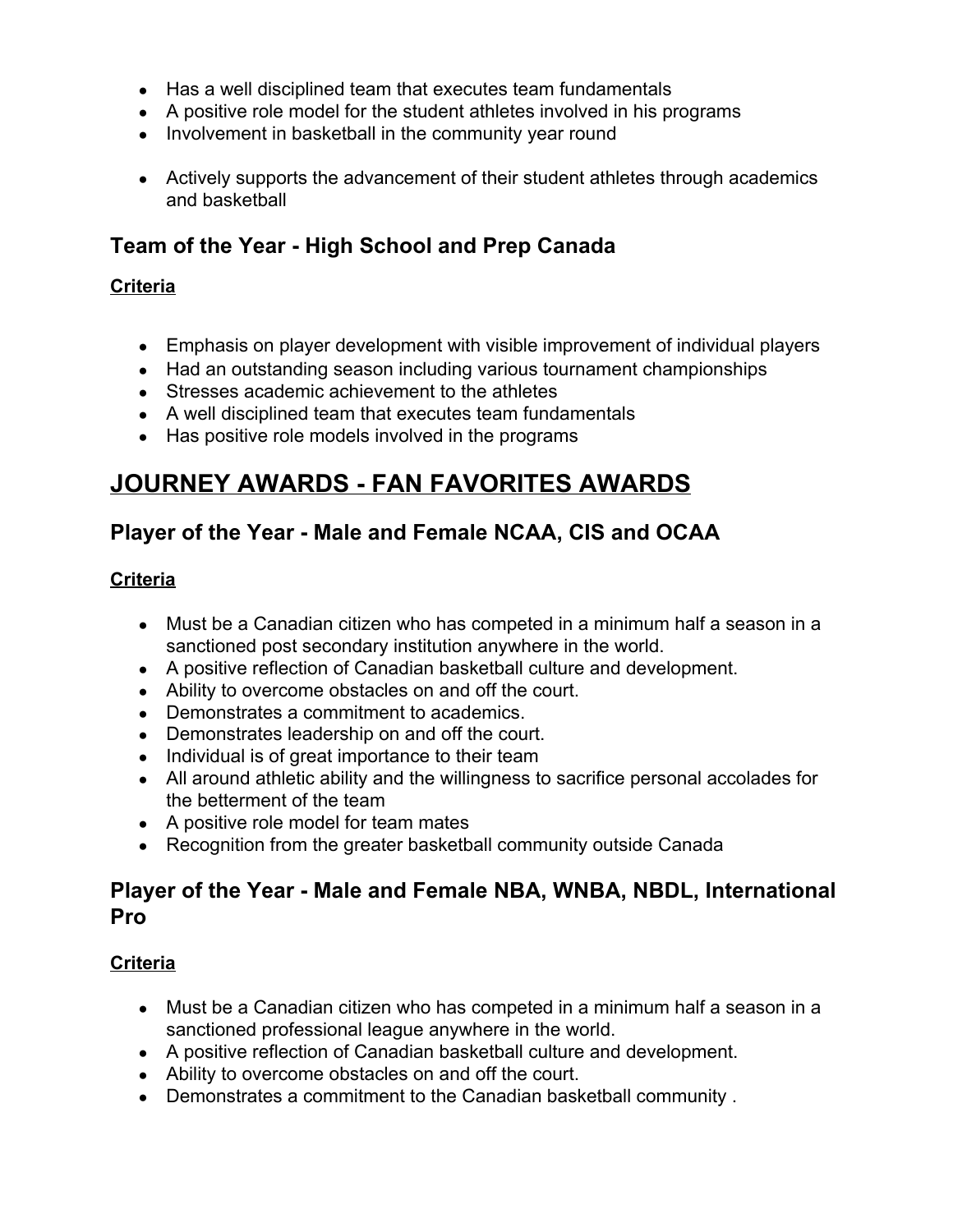- Has a well disciplined team that executes team fundamentals
- A positive role model for the student athletes involved in his programs
- Involvement in basketball in the community year round
- Actively supports the advancement of their student athletes through academics and basketball

### **Team of the Year - High School and Prep Canada**

#### **Criteria**

- Emphasis on player development with visible improvement of individual players
- Had an outstanding season including various tournament championships
- Stresses academic achievement to the athletes
- A well disciplined team that executes team fundamentals
- Has positive role models involved in the programs

## **JOURNEY AWARDS - FAN FAVORITES AWARDS**

## **Player of the Year - Male and Female NCAA, CIS and OCAA**

#### **Criteria**

- Must be a Canadian citizen who has competed in a minimum half a season in a sanctioned post secondary institution anywhere in the world.
- A positive reflection of Canadian basketball culture and development.
- Ability to overcome obstacles on and off the court.
- Demonstrates a commitment to academics.
- Demonstrates leadership on and off the court.
- Individual is of great importance to their team
- All around athletic ability and the willingness to sacrifice personal accolades for the betterment of the team
- A positive role model for team mates
- Recognition from the greater basketball community outside Canada

### **Player of the Year - Male and Female NBA, WNBA, NBDL, International Pro**

#### **Criteria**

- Must be a Canadian citizen who has competed in a minimum half a season in a sanctioned professional league anywhere in the world.
- A positive reflection of Canadian basketball culture and development.
- Ability to overcome obstacles on and off the court.
- Demonstrates a commitment to the Canadian basketball community .